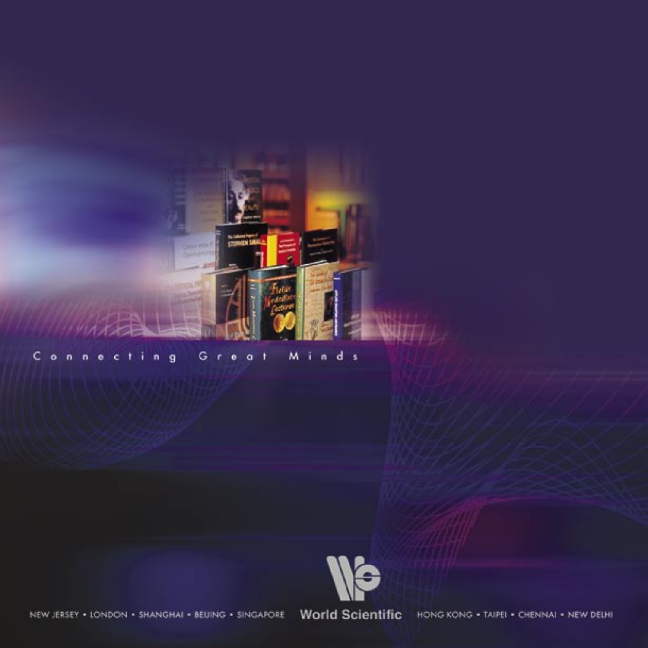



NEW JERSEY . LONDON . SHANGHAI . BEUING . SINGAPORE

**World Scientific** 

HONG KONG . TAIPEI . CHENNAI . NEW DELHI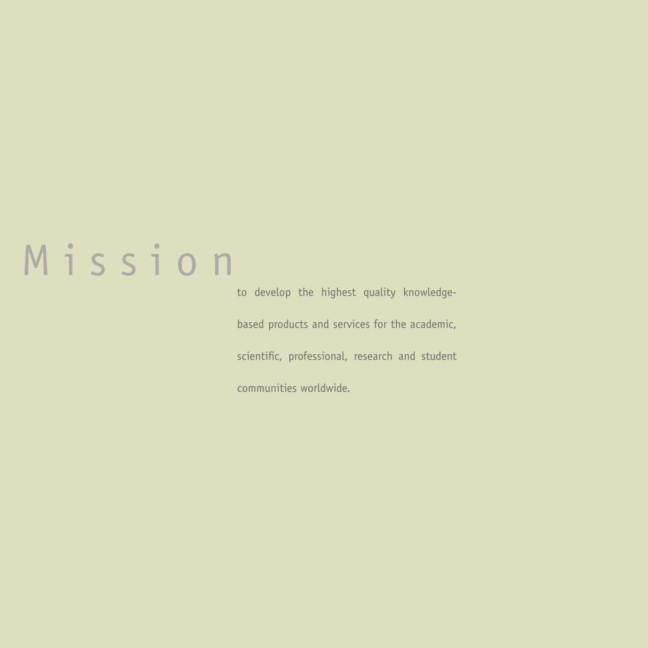# M i s s i o n

to develop the highest quality knowledgebased products and services for the academic, scientific, professional, research and student communities worldwide.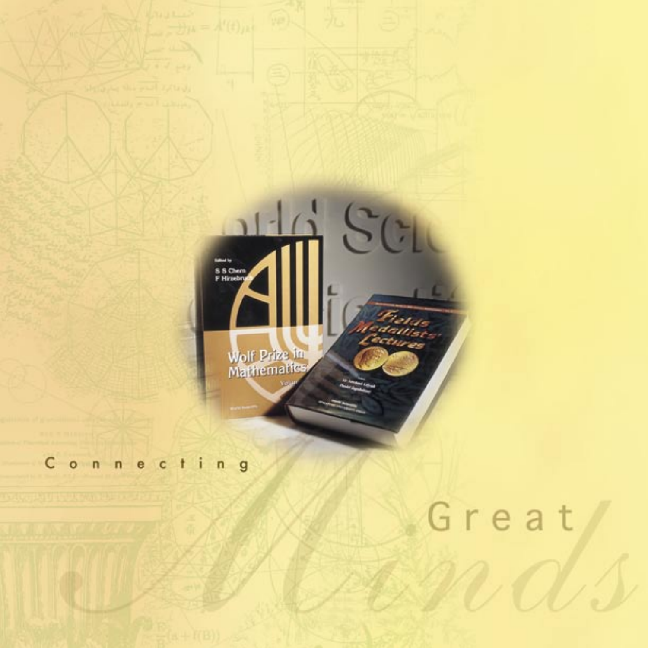

Connecting

# Great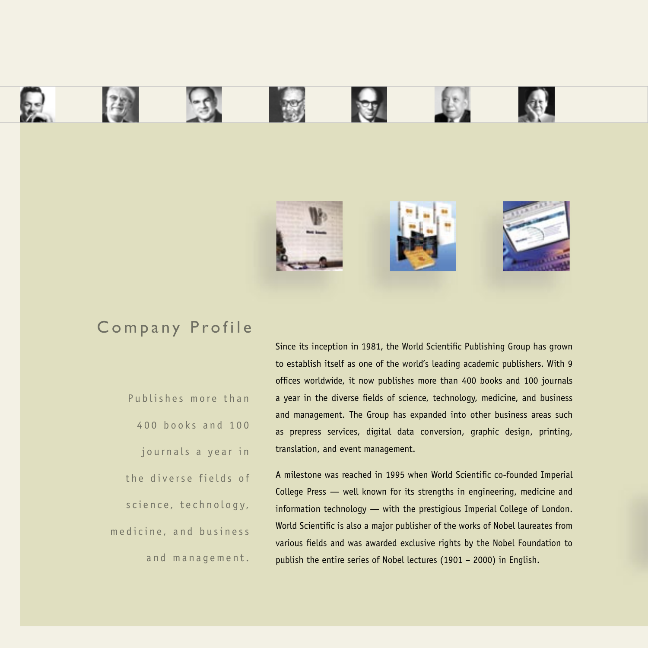



## Company Profile

Publishes more than 400 books and 100 journals a year in the diverse fields of science, technology, medicine, and business and management. Since its inception in 1981, the World Scientific Publishing Group has grown to establish itself as one of the world's leading academic publishers. With 9 offices worldwide, it now publishes more than 400 books and 100 journals a year in the diverse fields of science, technology, medicine, and business and management. The Group has expanded into other business areas such as prepress services, digital data conversion, graphic design, printing, translation, and event management.

A milestone was reached in 1995 when World Scientific co-founded Imperial College Press — well known for its strengths in engineering, medicine and information technology — with the prestigious Imperial College of London. World Scientific is also a major publisher of the works of Nobel laureates from various fields and was awarded exclusive rights by the Nobel Foundation to publish the entire series of Nobel lectures (1901 – 2000) in English.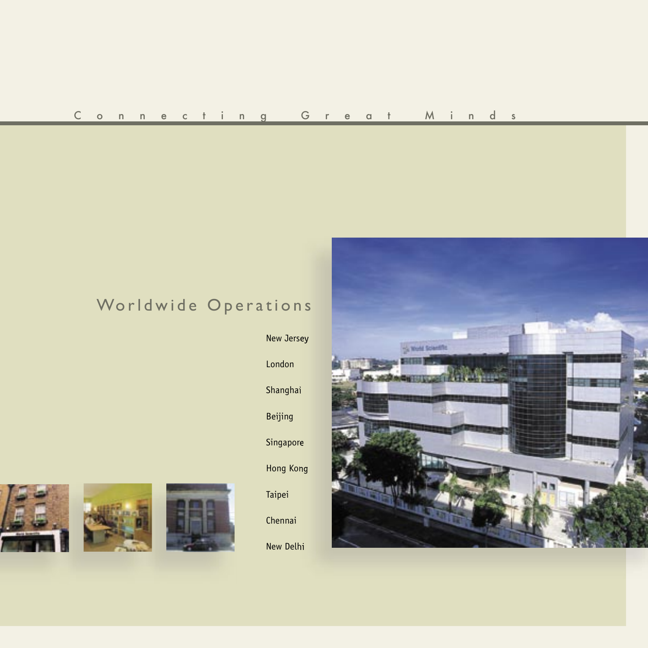London

Shanghai

Beijing

Singapore

Hong Kong

Taipei

Chennai

New Delhi

# Worldwide Operations





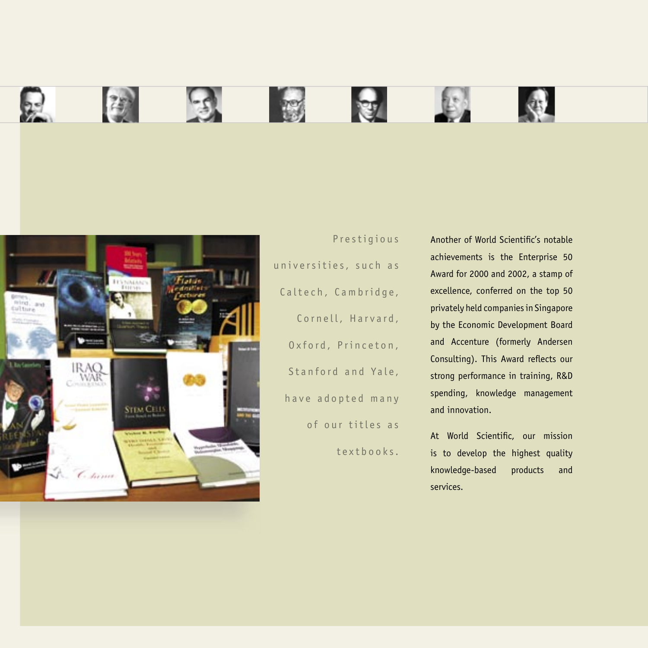

















Prestigious universities, such as Caltech, Cambridge, Cornell, Harvard, Oxford, Princeton, Stanford and Yale, have adopted many of our titles as textbooks.

Another of World Scientific's notable achievements is the Enterprise 50 Award for 2000 and 2002, a stamp of excellence, conferred on the top 50 privately held companies in Singapore by the Economic Development Board and Accenture (formerly Andersen Consulting). This Award reflects our strong performance in training, R&D spending, knowledge management and innovation.

At World Scientific, our mission is to develop the highest quality knowledge-based products and services.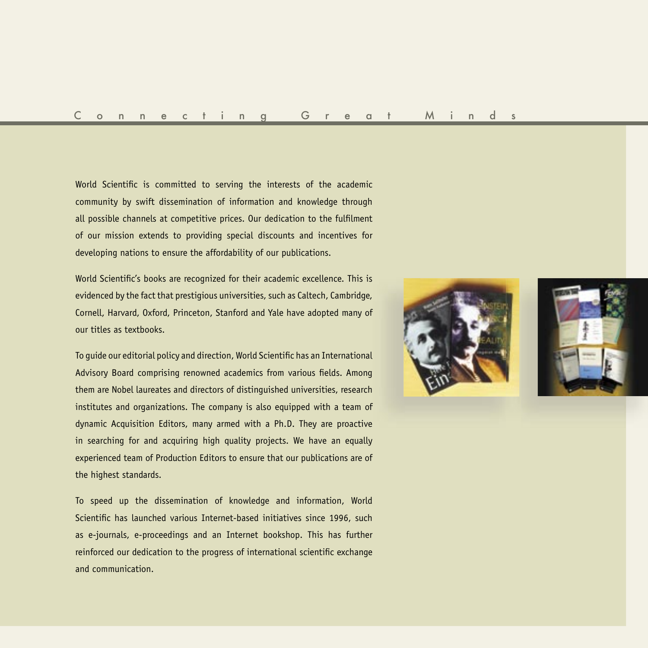World Scientific is committed to serving the interests of the academic community by swift dissemination of information and knowledge through all possible channels at competitive prices. Our dedication to the fulfilment of our mission extends to providing special discounts and incentives for developing nations to ensure the affordability of our publications.

World Scientific's books are recognized for their academic excellence. This is evidenced by the fact that prestigious universities, such as Caltech, Cambridge, Cornell, Harvard, Oxford, Princeton, Stanford and Yale have adopted many of our titles as textbooks.

To guide our editorial policy and direction, World Scientific has an International Advisory Board comprising renowned academics from various fields. Among Advisory Board comprising renowned academics from various fields. Among<br>them are Nobel laureates and directors of distinguished universities, research institutes and organizations. The company is also equipped with a team of dynamic Acquisition Editors, many armed with a Ph.D. They are proactive in searching for and acquiring high quality projects. We have an equally experienced team of Production Editors to ensure that our publications are of the highest standards.

To speed up the dissemination of knowledge and information, World Scientific has launched various Internet-based initiatives since 1996, such as e-journals, e-proceedings and an Internet bookshop. This has further reinforced our dedication to the progress of international scientific exchange and communication.



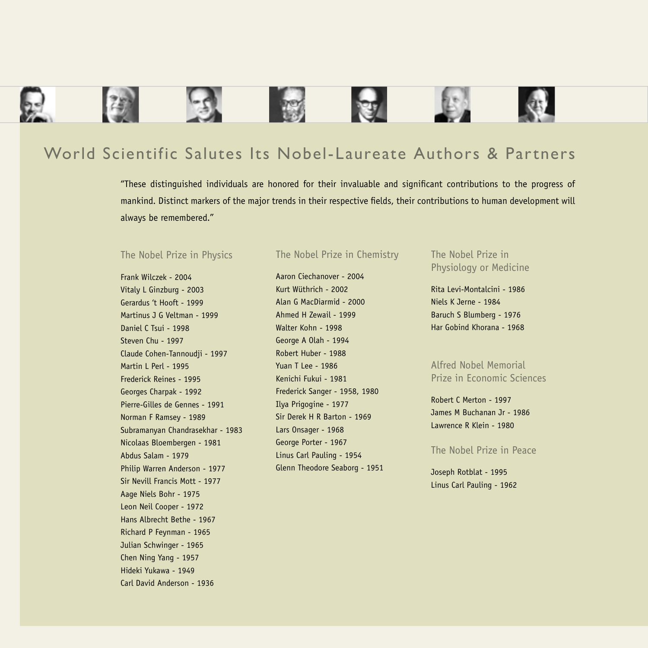

## World Scientific Salutes Its Nobel-Laureate Authors & Partners

"These distinguished individuals are honored for their invaluable and significant contributions to the progress of mankind. Distinct markers of the major trends in their respective fields, their contributions to human development will always be remembered."

#### The Nobel Prize in Physics

Frank Wilczek - 2004 Vitaly L Ginzburg - 2003 Gerardus 't Hooft - 1999 Martinus J G Veltman - 1999 Daniel C Tsui - 1998 Steven Chu - 1997 Claude Cohen-Tannoudji - 1997 Martin L Perl - 1995 Frederick Reines - 1995 Georges Charpak - 1992 Pierre-Gilles de Gennes - 1991 Norman F Ramsey - 1989 Subramanyan Chandrasekhar - 1983 Nicolaas Bloembergen - 1981 Abdus Salam - 1979 Philip Warren Anderson - 1977 Sir Nevill Francis Mott - 1977 Aage Niels Bohr - 1975 Leon Neil Cooper - 1972 Hans Albrecht Bethe - 1967 Richard P Feynman - 1965 Julian Schwinger - 1965 Chen Ning Yang - 1957 Hideki Yukawa - 1949 Carl David Anderson - 1936

#### The Nobel Prize in Chemistry

Aaron Ciechanover - 2004 Kurt Wüthrich - 2002 Alan G MacDiarmid - 2000 Ahmed H Zewail - 1999 Walter Kohn - 1998 George A Olah - 1994 Robert Huber - 1988 Yuan T Lee - 1986 Kenichi Fukui - 1981 Frederick Sanger - 1958, 1980 Ilya Prigogine - 1977 Sir Derek H R Barton - 1969 Lars Onsager - 1968 George Porter - 1967 Linus Carl Pauling - 1954 Glenn Theodore Seaborg - 1951

#### The Nobel Prize in Physiology or Medicine

Rita Levi-Montalcini - 1986 Niels K Jerne - 1984 Baruch S Blumberg - 1976 Har Gobind Khorana - 1968

Alfred Nobel Memorial Prize in Economic Sciences

Robert C Merton - 1997 James M Buchanan Jr - 1986 Lawrence R Klein - 1980

#### The Nobel Prize in Peace

Joseph Rotblat - 1995 Linus Carl Pauling - 1962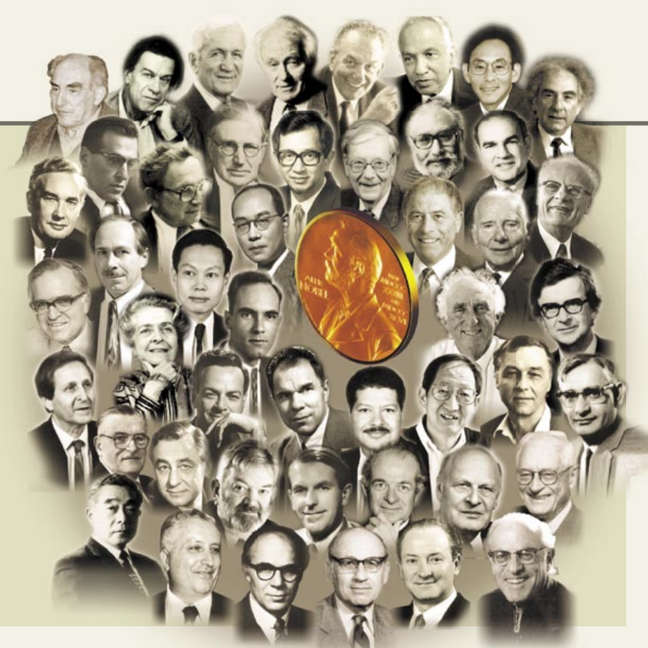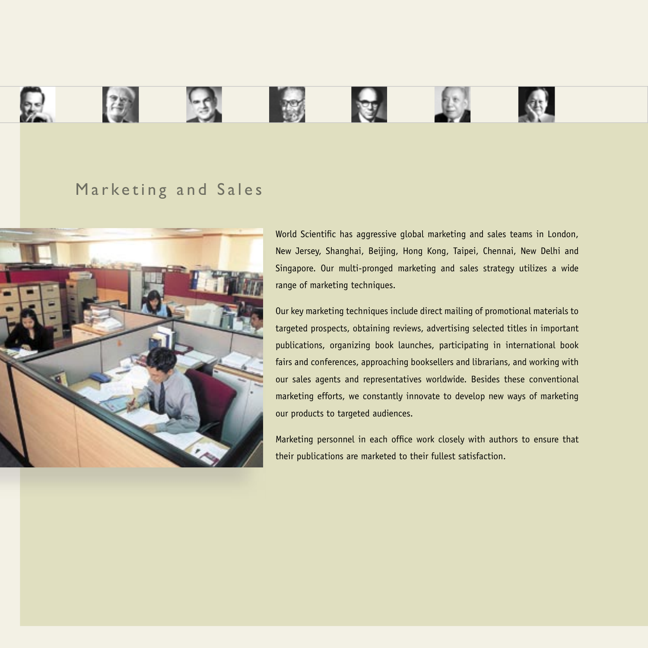

## Marketing and Sales



World Scientific has aggressive global marketing and sales teams in London, New Jersey, Shanghai, Beijing, Hong Kong, Taipei, Chennai, New Delhi and Singapore. Our multi-pronged marketing and sales strategy utilizes a wide range of marketing techniques.

Our key marketing techniques include direct mailing of promotional materials to targeted prospects, obtaining reviews, advertising selected titles in important publications, organizing book launches, participating in international book fairs and conferences, approaching booksellers and librarians, and working with our sales agents and representatives worldwide. Besides these conventional marketing efforts, we constantly innovate to develop new ways of marketing our products to targeted audiences.

Marketing personnel in each office work closely with authors to ensure that their publications are marketed to their fullest satisfaction.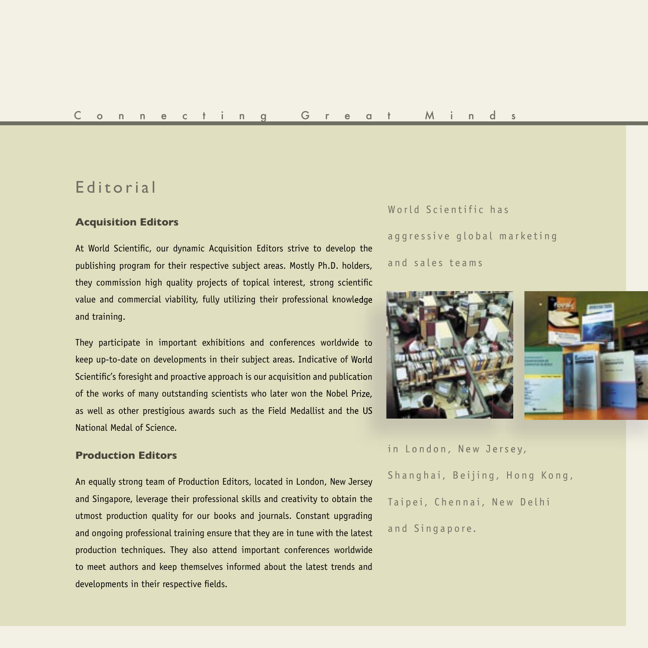## **E** ditorial

#### **Acquisition Editors**

At World Scientific, our dynamic Acquisition Editors strive to develop the publishing program for their respective subject areas. Mostly Ph.D. holders, they commission high quality projects of topical interest, strong scientific value and commercial viability, fully utilizing their professional knowledge and training.

They participate in important exhibitions and conferences worldwide to keep up-to-date on developments in their subject areas. Indicative of World Scientific's foresight and proactive approach is our acquisition and publication of the works of many outstanding scientists who later won the Nobel Prize, as well as other prestigious awards such as the Field Medallist and the US National Medal of Science.

#### **Production Editors**

An equally strong team of Production Editors, located in London, New Jersey and Singapore, leverage their professional skills and creativity to obtain the utmost production quality for our books and journals. Constant upgrading and ongoing professional training ensure that they are in tune with the latest production techniques. They also attend important conferences worldwide to meet authors and keep themselves informed about the latest trends and developments in their respective fields.

### World Scientific has

## aggressive global marketing

#### and sales teams



in London, New Jersey, Shanghai, Beijing, Hong Kong, Taipei, Chennai, New Delhi and Singapore.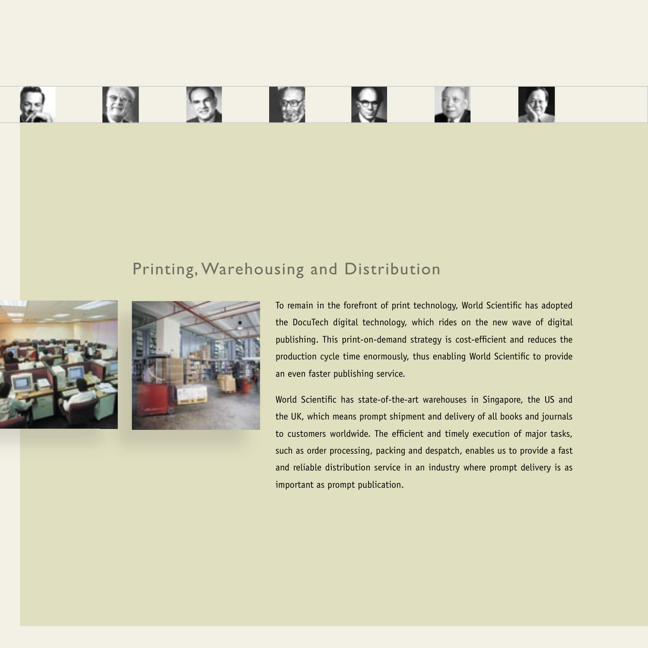

# Printing, Warehousing and Distribution





To remain in the forefront of print technology, World Scientific has adopted the DocuTech digital technology, which rides on the new wave of digital publishing. This print-on-demand strategy is cost-efficient and reduces the production cycle time enormously, thus enabling World Scientific to provide an even faster publishing service.

World Scientific has state-of-the-art warehouses in Singapore, the US and the UK, which means prompt shipment and delivery of all books and journals to customers worldwide. The efficient and timely execution of major tasks, such as order processing, packing and despatch, enables us to provide a fast and reliable distribution service in an industry where prompt delivery is as important as prompt publication.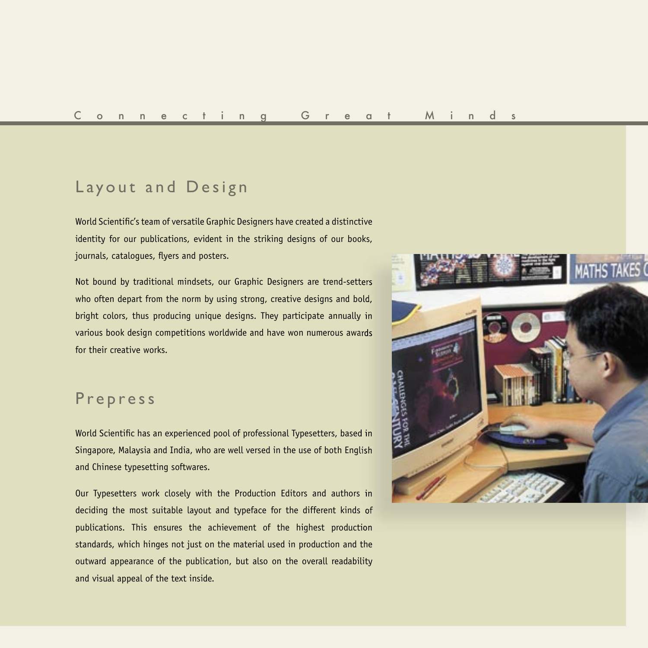# Layout and Design

World Scientific's team of versatile Graphic Designers have created a distinctive identity for our publications, evident in the striking designs of our books, journals, catalogues, flyers and posters.

Not bound by traditional mindsets, our Graphic Designers are trend-setters who often depart from the norm by using strong, creative designs and bold, bright colors, thus producing unique designs. They participate annually in various book design competitions worldwide and have won numerous awards for their creative works.

## **Prepress**

World Scientific has an experienced pool of professional Typesetters, based in Singapore, Malaysia and India, who are well versed in the use of both English and Chinese typesetting softwares.

Our Typesetters work closely with the Production Editors and authors in deciding the most suitable layout and typeface for the different kinds of publications. This ensures the achievement of the highest production standards, which hinges not just on the material used in production and the outward appearance of the publication, but also on the overall readability and visual appeal of the text inside.

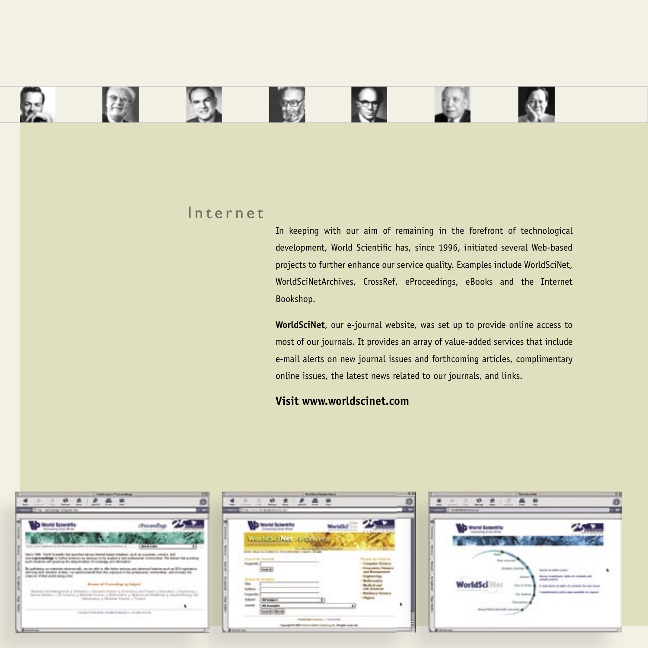

## Internet

In keeping with our aim of remaining in the forefront of technological development, World Scientific has, since 1996, initiated several Web-based projects to further enhance our service quality. Examples include WorldSciNet, WorldSciNetArchives, CrossRef, eProceedings, eBooks and the Internet Bookshop.

**WorldSciNet**, our e-journal website, was set up to provide online access to most of our journals. It provides an array of value-added services that include e-mail alerts on new journal issues and forthcoming articles, complimentary online issues, the latest news related to our journals, and links.

## **Visit www.worldscinet.com**



| World Sellier sheep<br>GONZILL PALEMENT IN CH |   |
|-----------------------------------------------|---|
|                                               |   |
|                                               |   |
|                                               | ٠ |
|                                               |   |

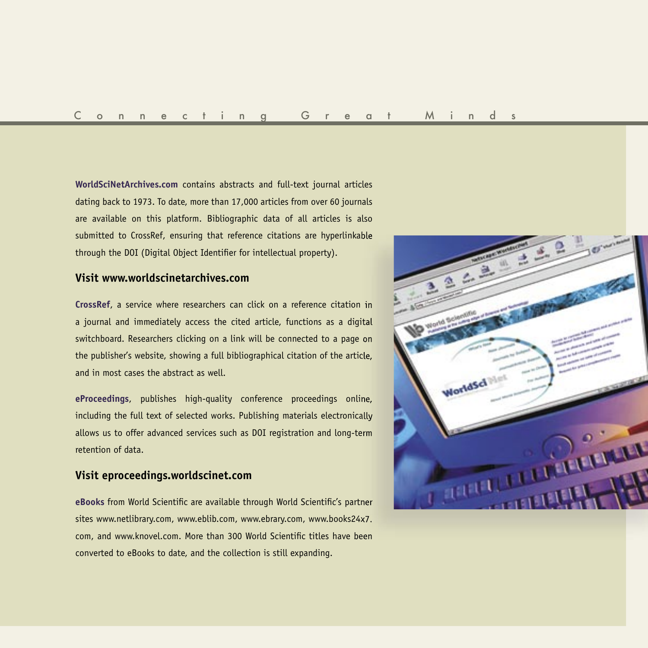**WorldSciNetArchives.com** contains abstracts and full-text journal articles dating back to 1973. To date, more than 17,000 articles from over 60 journals are available on this platform. Bibliographic data of all articles is also submitted to CrossRef, ensuring that reference citations are hyperlinkable through the DOI (Digital Object Identifier for intellectual property).

## **Visit www.worldscinetarchives.com**

CrossRef, a service where researchers can click on a reference citation in a journal and immediately access the cited article, functions as a digital the functions as a digital switchboard. Researchers clicking on a link will be connected to a page on the publisher's website, showing a full bibliographical citation of the article, and in most cases the abstract as well.

**eProceedings**, publishes high-quality conference proceedings online, high-quality conference proceedings including the full text of selected works. Publishing materials electronically allows us to offer advanced services such as DOI registration and long-term retention of data.

## **Visit eproceedings.worldscinet.com**

eBooks from World Scientific are available through World Scientific's partner sites www.netlibrary.com, www.eblib.com, www.ebrary.com, www.books24x7. com, and www.knovel.com. More than 300 World Scientific titles have been converted to eBooks to date, and the collection is still expanding.

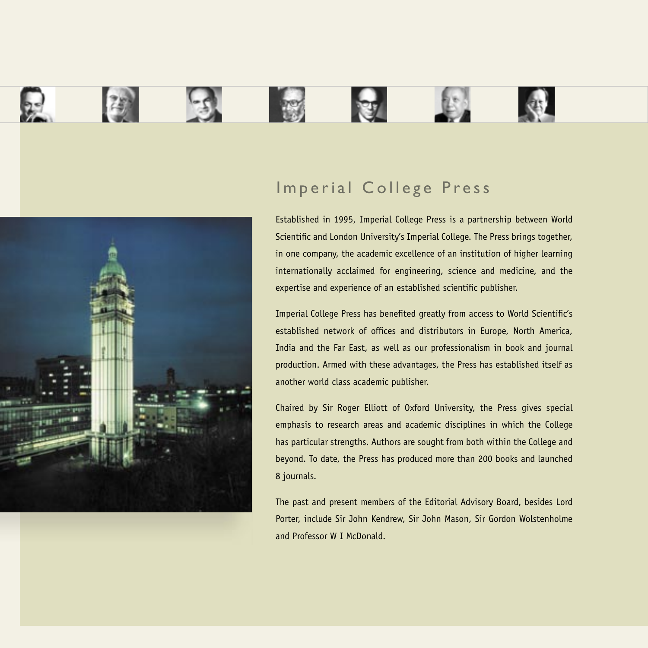



# Imperial College Press

Established in 1995, Imperial College Press is a partnership between World Scientific and London University's Imperial College. The Press brings together, in one company, the academic excellence of an institution of higher learning internationally acclaimed for engineering, science and medicine, and the expertise and experience of an established scientific publisher.

Imperial College Press has benefited greatly from access to World Scientific's established network of offices and distributors in Europe, North America, India and the Far East, as well as our professionalism in book and journal production. Armed with these advantages, the Press has established itself as another world class academic publisher.

Chaired by Sir Roger Elliott of Oxford University, the Press gives special emphasis to research areas and academic disciplines in which the College has particular strengths. Authors are sought from both within the College and beyond. To date, the Press has produced more than 200 books and launched 8 journals.

The past and present members of the Editorial Advisory Board, besides Lord Porter, include Sir John Kendrew, Sir John Mason, Sir Gordon Wolstenholme and Professor W I McDonald.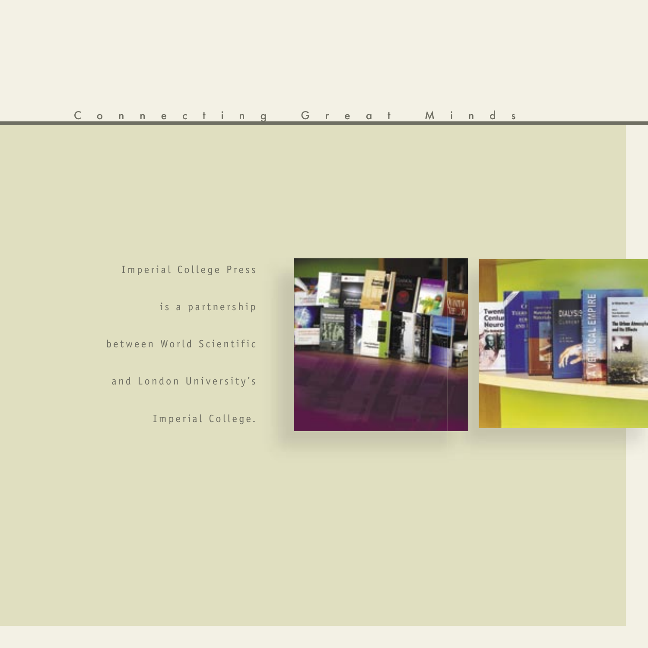## C o n n e c t i n g G r e a t M i n d s

Imperial College Press

is a partnership

b e t w e e n W o r l d S c i e n t i f i c

and London University's

Imperial College.



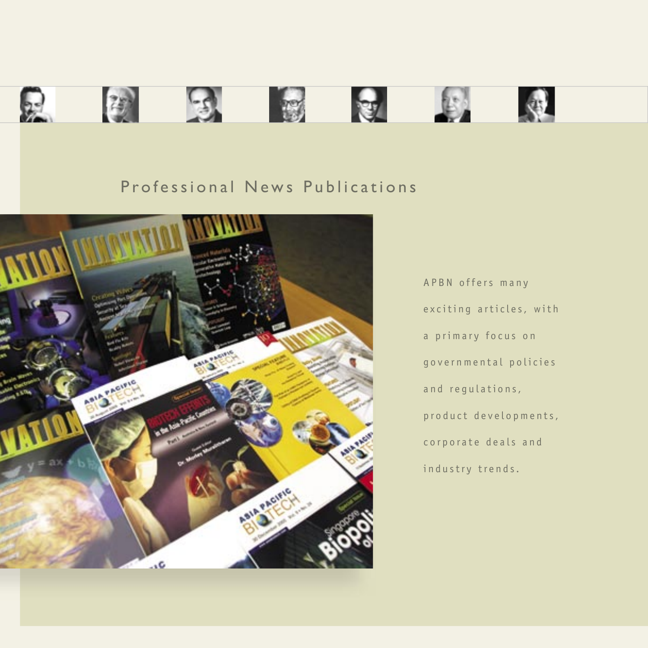

# Professional News Publications



A P B N offers many exciting articles, with a primary focus on governmental policies and regulations, p r o d u c t d e v e l o p m e n t s, corporate deals and industry trends.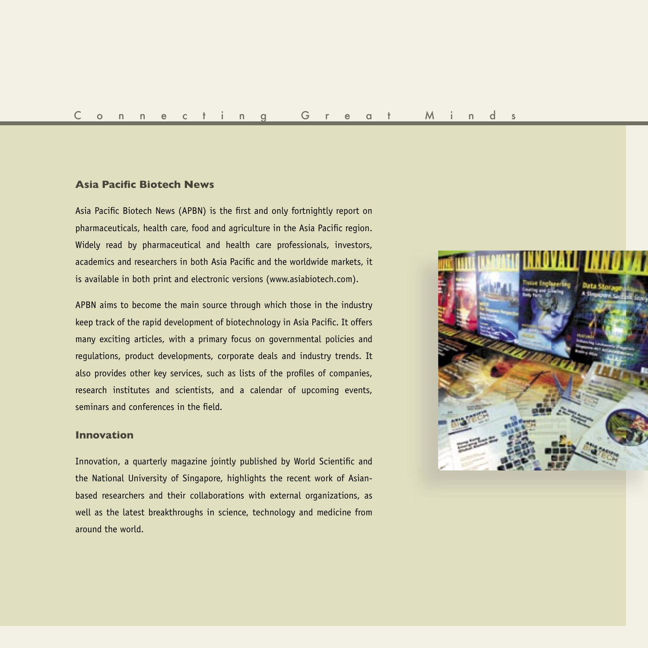#### **Asia Pacific Biotech News**

Asia Pacific Biotech News (APBN) is the first and only fortnightly report on pharmaceuticals, health care, food and agriculture in the Asia Pacific region. Widely read by pharmaceutical and health care professionals, investors, academics and researchers in both Asia Pacific and the worldwide markets, it is available in both print and electronic versions (www.asiabiotech.com).

APBN aims to become the main source through which those in the industry keep track of the rapid development of biotechnology in Asia Pacific. It offers many exciting articles, with a primary focus on governmental policies and regulations, product developments, corporate deals and industry trends. It also provides other key services, such as lists of the profiles of companies, research institutes and scientists, and a calendar of upcoming events, seminars and conferences in the field.

#### **Innovation**

Innovation, a quarterly magazine jointly published by World Scientific and the National University of Singapore, highlights the recent work of Asianbased researchers and their collaborations with external organizations, as well as the latest breakthroughs in science, technology and medicine from around the world.

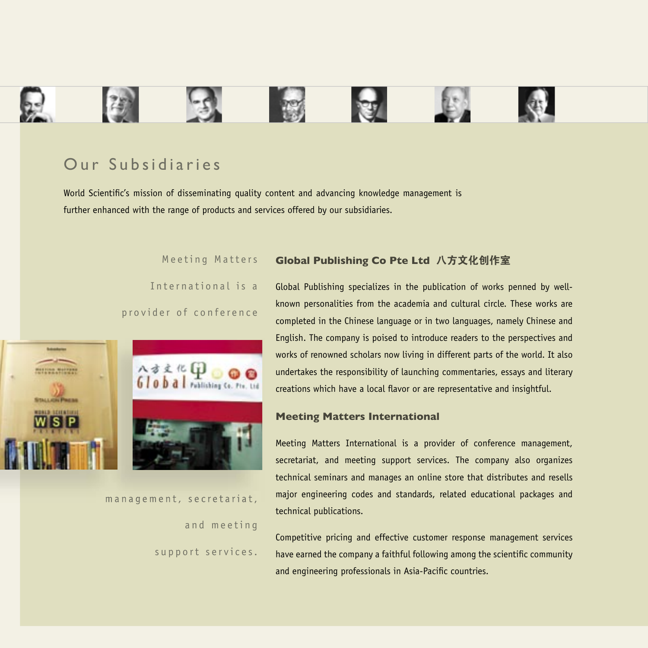

# Our Subsidiaries

World Scientific's mission of disseminating quality content and advancing knowledge management is further enhanced with the range of products and services offered by our subsidiaries.

# Meeting Matters

International is a provider of conference



management, secretariat, and meeting support services.

## **Global Publishing Co Pte Ltd** 八方文化创作室

Global Publishing specializes in the publication of works penned by wellknown personalities from the academia and cultural circle. These works are completed in the Chinese language or in two languages, namely Chinese and English. The company is poised to introduce readers to the perspectives and works of renowned scholars now living in different parts of the world. It also undertakes the responsibility of launching commentaries, essays and literary creations which have a local flavor or are representative and insightful.

#### **Meeting Matters International**

Meeting Matters International is a provider of conference management, secretariat, and meeting support services. The company also organizes technical seminars and manages an online store that distributes and resells major engineering codes and standards, related educational packages and technical publications.

Competitive pricing and effective customer response management services have earned the company a faithful following among the scientific community and engineering professionals in Asia-Pacific countries.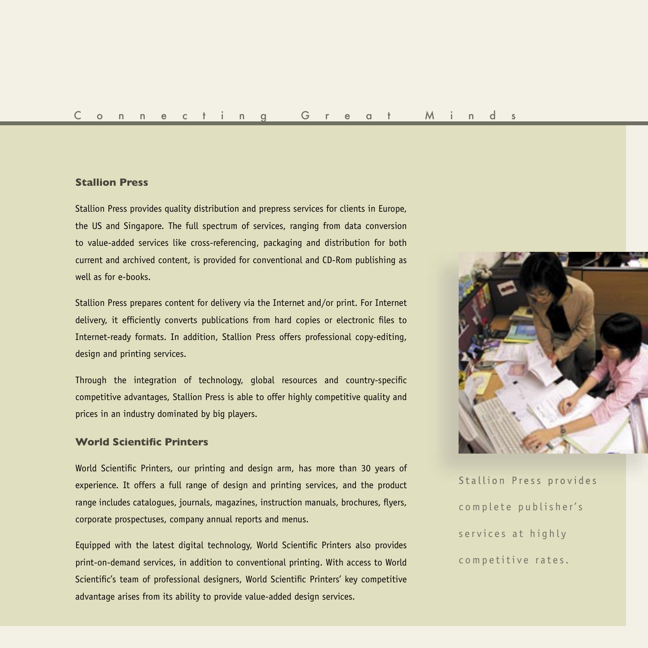#### **Stallion Press**

Stallion Press provides quality distribution and prepress services for clients in Europe, the US and Singapore. The full spectrum of services, ranging from data conversion to value-added services like cross-referencing, packaging and distribution for both current and archived content, is provided for conventional and CD-Rom publishing as well as for e-books.

Stallion Press prepares content for delivery via the Internet and/or print. For Internet delivery, it efficiently converts publications from hard copies or electronic files to Internet-ready formats. In addition, Stallion Press offers professional copy-editing, design and printing services.

Through the integration of technology, global resources and country-specific competitive advantages, Stallion Press is able to offer highly competitive quality and prices in an industry dominated by big players.

#### **World Scientific Printers**

World Scientific Printers, our printing and design arm, has more than 30 years of experience. It offers a full range of design and printing services, and the product range includes catalogues, journals, magazines, instruction manuals, brochures, flyers, corporate prospectuses, company annual reports and menus.

Equipped with the latest digital technology, World Scientific Printers also provides print-on-demand services, in addition to conventional printing. With access to World Scientific's team of professional designers, World Scientific Printers' key competitive advantage arises from its ability to provide value-added design services.



Stallion Press provides complete publisher's s e r vices at highly competitive rates.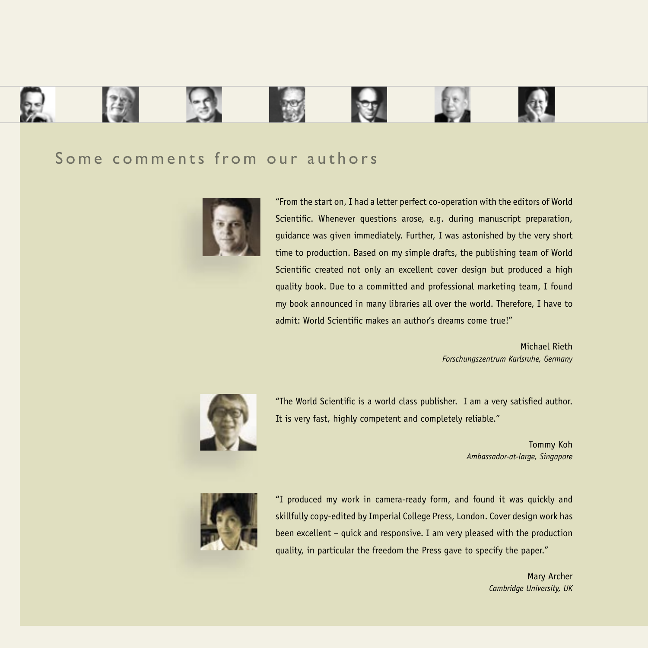

# Some comments from our authors



"From the start on, I had a letter perfect co-operation with the editors of World Scientific. Whenever questions arose, e.g. during manuscript preparation, guidance was given immediately. Further, I was astonished by the very short time to production. Based on my simple drafts, the publishing team of World Scientific created not only an excellent cover design but produced a high quality book. Due to a committed and professional marketing team, I found my book announced in many libraries all over the world. Therefore, I have to admit: World Scientific makes an author's dreams come true!"

> Michael Rieth *Forschungszentrum Karlsruhe, Germany*



"The World Scientific is a world class publisher. I am a very satisfied author. It is very fast, highly competent and completely reliable."

> Tommy Koh *Ambassador-at-large, Singapore*



"I produced my work in camera-ready form, and found it was quickly and skillfully copy-edited by Imperial College Press, London. Cover design work has been excellent – quick and responsive. I am very pleased with the production quality, in particular the freedom the Press gave to specify the paper."

> Mary Archer *Cambridge University, UK*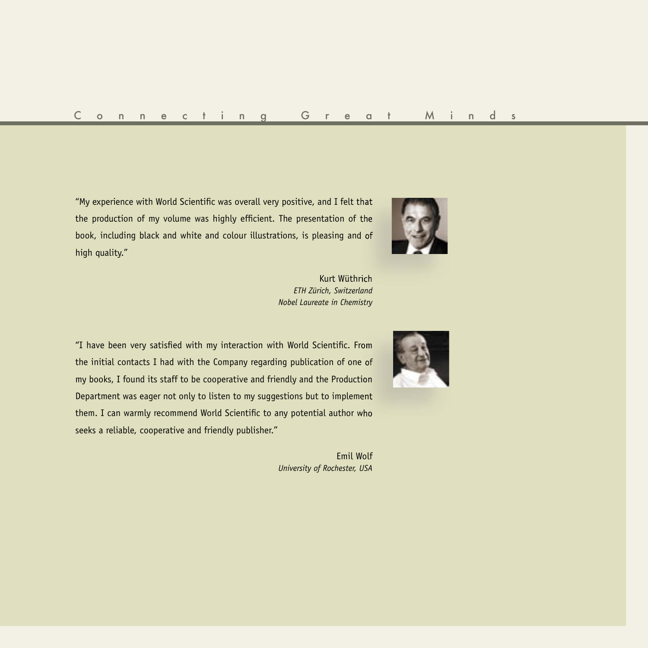"My experience with World Scientific was overall very positive, and I felt that the production of my volume was highly efficient. The presentation of the book, including black and white and colour illustrations, is pleasing and of high quality."

> Kurt Wüthrich *ETH Zürich, Switzerland Nobel Laureate in Chemistry*

"I have been very satisfied with my interaction with World Scientific. From the initial contacts I had with the Company regarding publication of one of my books, I found its staff to be cooperative and friendly and the Production Department was eager not only to listen to my suggestions but to implement them. I can warmly recommend World Scientific to any potential author who seeks a reliable, cooperative and friendly publisher." Scientific was overall very positive, and I felt that<br>me was highly efficient. The presentation of the<br>white and colour illustrations, is pleasing and of<br>Kurt Wüthrich<br>*ETH Zürich, Switzerland*<br>*Nobel Laureate in Chemistry* 

> Emil Wolf *University of Rochester, USA*